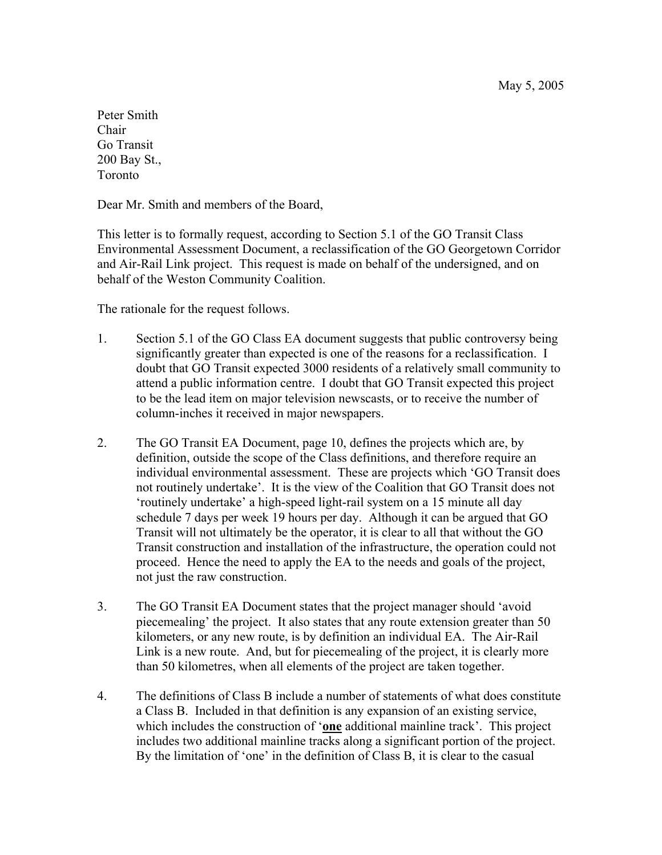May 5, 2005

Peter Smith Chair Go Transit 200 Bay St., Toronto

Dear Mr. Smith and members of the Board,

This letter is to formally request, according to Section 5.1 of the GO Transit Class Environmental Assessment Document, a reclassification of the GO Georgetown Corridor and Air-Rail Link project. This request is made on behalf of the undersigned, and on behalf of the Weston Community Coalition.

The rationale for the request follows.

- 1. Section 5.1 of the GO Class EA document suggests that public controversy being significantly greater than expected is one of the reasons for a reclassification. I doubt that GO Transit expected 3000 residents of a relatively small community to attend a public information centre. I doubt that GO Transit expected this project to be the lead item on major television newscasts, or to receive the number of column-inches it received in major newspapers.
- 2. The GO Transit EA Document, page 10, defines the projects which are, by definition, outside the scope of the Class definitions, and therefore require an individual environmental assessment. These are projects which 'GO Transit does not routinely undertake'. It is the view of the Coalition that GO Transit does not 'routinely undertake' a high-speed light-rail system on a 15 minute all day schedule 7 days per week 19 hours per day. Although it can be argued that GO Transit will not ultimately be the operator, it is clear to all that without the GO Transit construction and installation of the infrastructure, the operation could not proceed. Hence the need to apply the EA to the needs and goals of the project, not just the raw construction.
- 3. The GO Transit EA Document states that the project manager should 'avoid piecemealing' the project. It also states that any route extension greater than 50 kilometers, or any new route, is by definition an individual EA. The Air-Rail Link is a new route. And, but for piecemealing of the project, it is clearly more than 50 kilometres, when all elements of the project are taken together.
- 4. The definitions of Class B include a number of statements of what does constitute a Class B. Included in that definition is any expansion of an existing service, which includes the construction of '**one** additional mainline track'. This project includes two additional mainline tracks along a significant portion of the project. By the limitation of 'one' in the definition of Class B, it is clear to the casual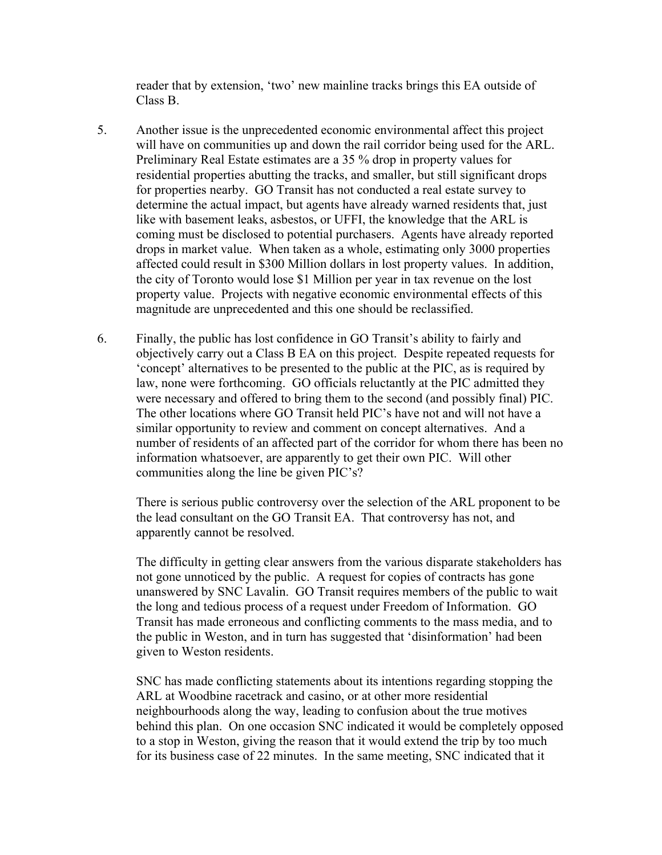reader that by extension, 'two' new mainline tracks brings this EA outside of Class B.

- 5. Another issue is the unprecedented economic environmental affect this project will have on communities up and down the rail corridor being used for the ARL. Preliminary Real Estate estimates are a 35 % drop in property values for residential properties abutting the tracks, and smaller, but still significant drops for properties nearby. GO Transit has not conducted a real estate survey to determine the actual impact, but agents have already warned residents that, just like with basement leaks, asbestos, or UFFI, the knowledge that the ARL is coming must be disclosed to potential purchasers. Agents have already reported drops in market value. When taken as a whole, estimating only 3000 properties affected could result in \$300 Million dollars in lost property values. In addition, the city of Toronto would lose \$1 Million per year in tax revenue on the lost property value. Projects with negative economic environmental effects of this magnitude are unprecedented and this one should be reclassified.
- 6. Finally, the public has lost confidence in GO Transit's ability to fairly and objectively carry out a Class B EA on this project. Despite repeated requests for 'concept' alternatives to be presented to the public at the PIC, as is required by law, none were forthcoming. GO officials reluctantly at the PIC admitted they were necessary and offered to bring them to the second (and possibly final) PIC. The other locations where GO Transit held PIC's have not and will not have a similar opportunity to review and comment on concept alternatives. And a number of residents of an affected part of the corridor for whom there has been no information whatsoever, are apparently to get their own PIC. Will other communities along the line be given PIC's?

There is serious public controversy over the selection of the ARL proponent to be the lead consultant on the GO Transit EA. That controversy has not, and apparently cannot be resolved.

The difficulty in getting clear answers from the various disparate stakeholders has not gone unnoticed by the public. A request for copies of contracts has gone unanswered by SNC Lavalin. GO Transit requires members of the public to wait the long and tedious process of a request under Freedom of Information. GO Transit has made erroneous and conflicting comments to the mass media, and to the public in Weston, and in turn has suggested that 'disinformation' had been given to Weston residents.

SNC has made conflicting statements about its intentions regarding stopping the ARL at Woodbine racetrack and casino, or at other more residential neighbourhoods along the way, leading to confusion about the true motives behind this plan. On one occasion SNC indicated it would be completely opposed to a stop in Weston, giving the reason that it would extend the trip by too much for its business case of 22 minutes. In the same meeting, SNC indicated that it